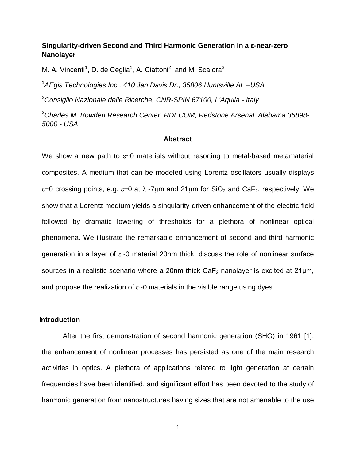# **Singularity-driven Second and Third Harmonic Generation in a ε-near-zero Nanolayer**

M. A. Vincenti<sup>1</sup>, D. de Ceglia<sup>1</sup>, A. Ciattoni<sup>2</sup>, and M. Scalora<sup>3</sup>

1 *AEgis Technologies Inc., 410 Jan Davis Dr., 35806 Huntsville AL –USA*

2 *Consiglio Nazionale delle Ricerche, CNR-SPIN 67100, L'Aquila - Italy*

3 *Charles M. Bowden Research Center, RDECOM, Redstone Arsenal, Alabama 35898- 5000 - USA*

#### **Abstract**

We show a new path to  $\varepsilon$ -0 materials without resorting to metal-based metamaterial composites. A medium that can be modeled using Lorentz oscillators usually displays ε=0 crossing points, e.g. ε=0 at  $\lambda$ ~7μm and 21μm for SiO<sub>2</sub> and CaF<sub>2</sub>, respectively. We show that a Lorentz medium yields a singularity-driven enhancement of the electric field followed by dramatic lowering of thresholds for a plethora of nonlinear optical phenomena. We illustrate the remarkable enhancement of second and third harmonic generation in a layer of ε~0 material 20nm thick, discuss the role of nonlinear surface sources in a realistic scenario where a 20nm thick  $CaF<sub>2</sub>$  nanolayer is excited at 21 $\mu$ m, and propose the realization of  $\varepsilon$ ~0 materials in the visible range using dyes.

# **Introduction**

After the first demonstration of second harmonic generation (SHG) in 1961 [1], the enhancement of nonlinear processes has persisted as one of the main research activities in optics. A plethora of applications related to light generation at certain frequencies have been identified, and significant effort has been devoted to the study of harmonic generation from nanostructures having sizes that are not amenable to the use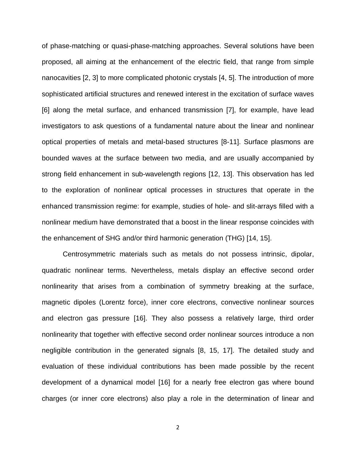of phase-matching or quasi-phase-matching approaches. Several solutions have been proposed, all aiming at the enhancement of the electric field, that range from simple nanocavities [2, 3] to more complicated photonic crystals [4, 5]. The introduction of more sophisticated artificial structures and renewed interest in the excitation of surface waves [6] along the metal surface, and enhanced transmission [7], for example, have lead investigators to ask questions of a fundamental nature about the linear and nonlinear optical properties of metals and metal-based structures [8-11]. Surface plasmons are bounded waves at the surface between two media, and are usually accompanied by strong field enhancement in sub-wavelength regions [12, 13]. This observation has led to the exploration of nonlinear optical processes in structures that operate in the enhanced transmission regime: for example, studies of hole- and slit-arrays filled with a nonlinear medium have demonstrated that a boost in the linear response coincides with the enhancement of SHG and/or third harmonic generation (THG) [14, 15].

Centrosymmetric materials such as metals do not possess intrinsic, dipolar, quadratic nonlinear terms. Nevertheless, metals display an effective second order nonlinearity that arises from a combination of symmetry breaking at the surface, magnetic dipoles (Lorentz force), inner core electrons, convective nonlinear sources and electron gas pressure [16]. They also possess a relatively large, third order nonlinearity that together with effective second order nonlinear sources introduce a non negligible contribution in the generated signals [8, 15, 17]. The detailed study and evaluation of these individual contributions has been made possible by the recent development of a dynamical model [16] for a nearly free electron gas where bound charges (or inner core electrons) also play a role in the determination of linear and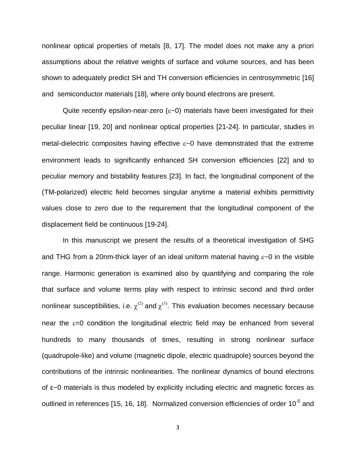nonlinear optical properties of metals [8, 17]. The model does not make any a priori assumptions about the relative weights of surface and volume sources, and has been shown to adequately predict SH and TH conversion efficiencies in centrosymmetric [16] and semiconductor materials [18], where only bound electrons are present.

Quite recently epsilon-near-zero  $(\epsilon$  -0) materials have been investigated for their peculiar linear [19, 20] and nonlinear optical properties [21-24]. In particular, studies in metal-dielectric composites having effective  $\varepsilon$ -0 have demonstrated that the extreme environment leads to significantly enhanced SH conversion efficiencies [22] and to peculiar memory and bistability features [23]. In fact, the longitudinal component of the (TM-polarized) electric field becomes singular anytime a material exhibits permittivity values close to zero due to the requirement that the longitudinal component of the displacement field be continuous [19-24].

In this manuscript we present the results of a theoretical investigation of SHG and THG from a 20nm-thick layer of an ideal uniform material having  $\varepsilon$ ~0 in the visible range. Harmonic generation is examined also by quantifying and comparing the role that surface and volume terms play with respect to intrinsic second and third order nonlinear susceptibilities, i.e.  $\chi^{(2)}$  and  $\chi^{(3)}$ . This evaluation becomes necessary because near the  $\varepsilon=0$  condition the longitudinal electric field may be enhanced from several hundreds to many thousands of times, resulting in strong nonlinear surface (quadrupole-like) and volume (magnetic dipole, electric quadrupole) sources beyond the contributions of the intrinsic nonlinearities. The nonlinear dynamics of bound electrons of ε~0 materials is thus modeled by explicitly including electric and magnetic forces as outlined in references [15, 16, 18]. Normalized conversion efficiencies of order 10<sup>-5</sup> and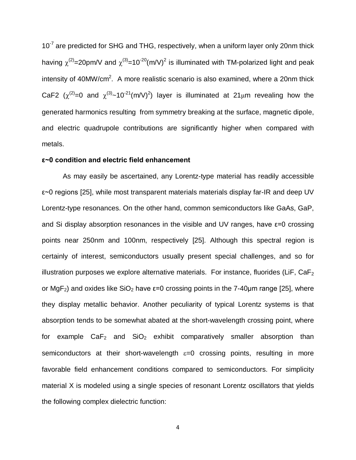$10^{-7}$  are predicted for SHG and THG, respectively, when a uniform layer only 20nm thick having  $\chi^{(2)}$ =20pm/V and  $\chi^{(3)}$ =10<sup>-20</sup>(m/V)<sup>2</sup> is illuminated with TM-polarized light and peak intensity of 40MW/cm<sup>2</sup>. A more realistic scenario is also examined, where a 20nm thick CaF2 ( $\chi^{(2)}$ =0 and  $\chi^{(3)}$ ~10<sup>-21</sup>(m/V)<sup>2</sup>) layer is illuminated at 21µm revealing how the generated harmonics resulting from symmetry breaking at the surface, magnetic dipole, and electric quadrupole contributions are significantly higher when compared with metals.

# **ε~0 condition and electric field enhancement**

As may easily be ascertained, any Lorentz-type material has readily accessible ε~0 regions [25], while most transparent materials materials display far-IR and deep UV Lorentz-type resonances. On the other hand, common semiconductors like GaAs, GaP, and Si display absorption resonances in the visible and UV ranges, have  $\varepsilon$ =0 crossing points near 250nm and 100nm, respectively [25]. Although this spectral region is certainly of interest, semiconductors usually present special challenges, and so for illustration purposes we explore alternative materials. For instance, fluorides (LiF,  $CaF<sub>2</sub>$ or MgF<sub>2</sub>) and oxides like SiO<sub>2</sub> have  $\varepsilon$ =0 crossing points in the 7-40 µm range [25], where they display metallic behavior. Another peculiarity of typical Lorentz systems is that absorption tends to be somewhat abated at the short-wavelength crossing point, where for example  $CaF<sub>2</sub>$  and  $SiO<sub>2</sub>$  exhibit comparatively smaller absorption than semiconductors at their short-wavelength  $\varepsilon=0$  crossing points, resulting in more favorable field enhancement conditions compared to semiconductors. For simplicity material X is modeled using a single species of resonant Lorentz oscillators that yields the following complex dielectric function: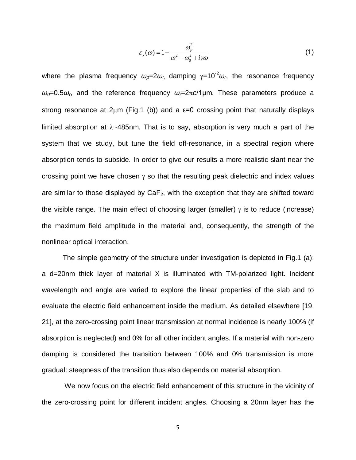$$
\varepsilon_{x}(\omega) = 1 - \frac{\omega_p^2}{\omega^2 - \omega_0^2 + i\gamma\omega}
$$
 (1)

where the plasma frequency  $ω_{p}=2ω_{r}$ , damping  $γ=10<sup>-2</sup>ω_{r}$ , the resonance frequency  $ω$ <sup>-</sup> $0.5ω$ <sub>*r*</sub>, and the reference frequency  $ω$ <sup>-2π</sup>*c*/1μm. These parameters produce a strong resonance at  $2\mu m$  (Fig.1 (b)) and a  $\varepsilon$ =0 crossing point that naturally displays limited absorption at  $\lambda$ ~485nm. That is to say, absorption is very much a part of the system that we study, but tune the field off-resonance, in a spectral region where absorption tends to subside. In order to give our results a more realistic slant near the crossing point we have chosen  $\gamma$  so that the resulting peak dielectric and index values are similar to those displayed by  $CaF<sub>2</sub>$ , with the exception that they are shifted toward the visible range. The main effect of choosing larger (smaller)  $\gamma$  is to reduce (increase) the maximum field amplitude in the material and, consequently, the strength of the nonlinear optical interaction.

The simple geometry of the structure under investigation is depicted in Fig.1 (a): a d=20nm thick layer of material X is illuminated with TM-polarized light. Incident wavelength and angle are varied to explore the linear properties of the slab and to evaluate the electric field enhancement inside the medium. As detailed elsewhere [19, 21], at the zero-crossing point linear transmission at normal incidence is nearly 100% (if absorption is neglected) and 0% for all other incident angles. If a material with non-zero damping is considered the transition between 100% and 0% transmission is more gradual: steepness of the transition thus also depends on material absorption.

We now focus on the electric field enhancement of this structure in the vicinity of the zero-crossing point for different incident angles. Choosing a 20nm layer has the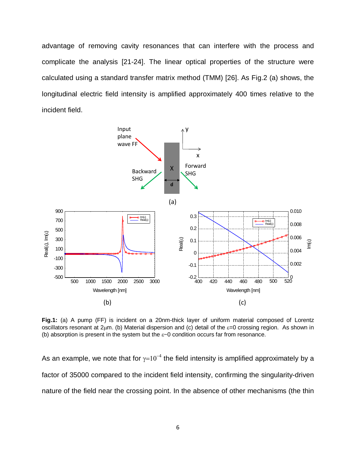advantage of removing cavity resonances that can interfere with the process and complicate the analysis [21-24]. The linear optical properties of the structure were calculated using a standard transfer matrix method (TMM) [26]. As Fig.2 (a) shows, the longitudinal electric field intensity is amplified approximately 400 times relative to the incident field.



**Fig.1:** (a) A pump (FF) is incident on a 20nm-thick layer of uniform material composed of Lorentz oscillators resonant at  $2\mu$ m. (b) Material dispersion and (c) detail of the  $\varepsilon$ =0 crossing region. As shown in (b) absorption is present in the system but the  $\varepsilon$ -0 condition occurs far from resonance.

As an example, we note that for  $\gamma=10^{-4}$  the field intensity is amplified approximately by a factor of 35000 compared to the incident field intensity, confirming the singularity-driven nature of the field near the crossing point. In the absence of other mechanisms (the thin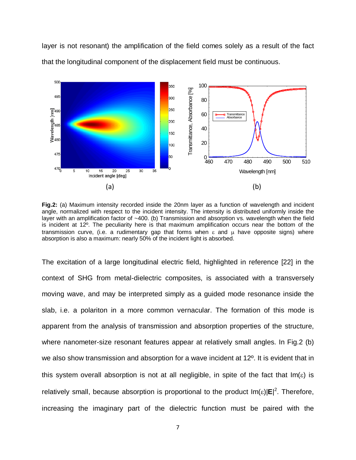layer is not resonant) the amplification of the field comes solely as a result of the fact that the longitudinal component of the displacement field must be continuous.



**Fig.2:** (a) Maximum intensity recorded inside the 20nm layer as a function of wavelength and incident angle, normalized with respect to the incident intensity. The intensity is distributed uniformly inside the layer with an amplification factor of ~400. (b) Transmission and absorption vs. wavelength when the field is incident at 12º. The peculiarity here is that maximum amplification occurs near the bottom of the transmission curve, (i.e. a rudimentary gap that forms when  $\varepsilon$  and  $\mu$  have opposite signs) where absorption is also a maximum: nearly 50% of the incident light is absorbed.

The excitation of a large longitudinal electric field, highlighted in reference [22] in the context of SHG from metal-dielectric composites, is associated with a transversely moving wave, and may be interpreted simply as a guided mode resonance inside the slab, i.e. a polariton in a more common vernacular. The formation of this mode is apparent from the analysis of transmission and absorption properties of the structure, where nanometer-size resonant features appear at relatively small angles. In Fig.2 (b) we also show transmission and absorption for a wave incident at 12º. It is evident that in this system overall absorption is not at all negligible, in spite of the fact that  $Im(\varepsilon)$  is relatively small, because absorption is proportional to the product  $Im(\epsilon)|E|^2$ . Therefore, increasing the imaginary part of the dielectric function must be paired with the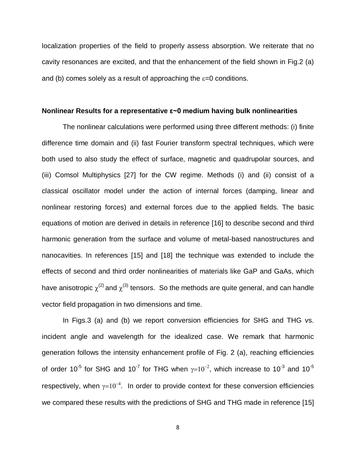localization properties of the field to properly assess absorption. We reiterate that no cavity resonances are excited, and that the enhancement of the field shown in Fig.2 (a) and (b) comes solely as a result of approaching the  $\varepsilon$ =0 conditions.

#### **Nonlinear Results for a representative ε~0 medium having bulk nonlinearities**

The nonlinear calculations were performed using three different methods: (i) finite difference time domain and (ii) fast Fourier transform spectral techniques, which were both used to also study the effect of surface, magnetic and quadrupolar sources, and (iii) Comsol Multiphysics [27] for the CW regime. Methods (i) and (ii) consist of a classical oscillator model under the action of internal forces (damping, linear and nonlinear restoring forces) and external forces due to the applied fields. The basic equations of motion are derived in details in reference [16] to describe second and third harmonic generation from the surface and volume of metal-based nanostructures and nanocavities. In references [15] and [18] the technique was extended to include the effects of second and third order nonlinearities of materials like GaP and GaAs, which have anisotropic  $\chi^{(2)}$  and  $\chi^{(3)}$  tensors. So the methods are quite general, and can handle vector field propagation in two dimensions and time.

In Figs.3 (a) and (b) we report conversion efficiencies for SHG and THG vs. incident angle and wavelength for the idealized case. We remark that harmonic generation follows the intensity enhancement profile of Fig. 2 (a), reaching efficiencies of order 10<sup>-5</sup> for SHG and 10<sup>-7</sup> for THG when  $\gamma=10^{-2}$ , which increase to 10<sup>-3</sup> and 10<sup>-5</sup> respectively, when  $\gamma=10^{-4}$ . In order to provide context for these conversion efficiencies we compared these results with the predictions of SHG and THG made in reference [15]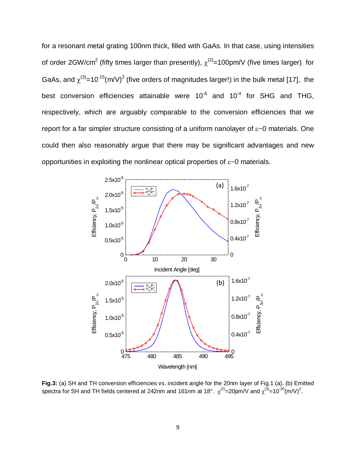for a resonant metal grating 100nm thick, filled with GaAs. In that case, using intensities of order 2GW/cm<sup>2</sup> (fifty times larger than presently),  $\chi^{(2)}$ =100pm/V (five times larger) for GaAs, and  $\chi^{(3)}$ =10<sup>-15</sup>(m/V)<sup>2</sup> (five orders of magnitudes larger!) in the bulk metal [17], the best conversion efficiencies attainable were  $10^{-6}$  and  $10^{-4}$  for SHG and THG, respectively, which are arguably comparable to the conversion efficiencies that we report for a far simpler structure consisting of a uniform nanolayer of ε~0 materials. One could then also reasonably argue that there may be significant advantages and new opportunities in exploiting the nonlinear optical properties of ε~0 materials.



**Fig.3:** (a) SH and TH conversion efficiencies vs. incident angle for the 20nm layer of Fig.1 (a). (b) Emitted spectra for SH and TH fields centered at 242nm and 161nm at 18°.  $\chi^{(2)}$ =20pm/V and  $\chi^{(3)}$ =10<sup>-20</sup>(m/V)<sup>2</sup>.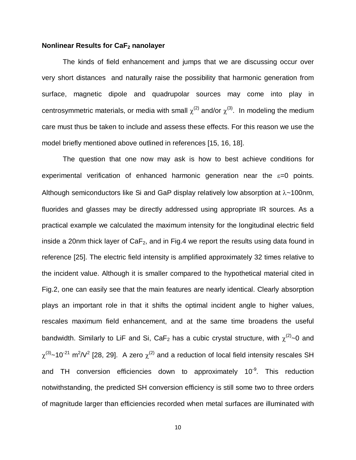### **Nonlinear Results for CaF**<sub>2</sub> **nanolayer**

The kinds of field enhancement and jumps that we are discussing occur over very short distances and naturally raise the possibility that harmonic generation from surface, magnetic dipole and quadrupolar sources may come into play in centrosymmetric materials, or media with small  $\chi^{(2)}$  and/or  $\chi^{(3)}$ . In modeling the medium care must thus be taken to include and assess these effects. For this reason we use the model briefly mentioned above outlined in references [15, 16, 18].

The question that one now may ask is how to best achieve conditions for experimental verification of enhanced harmonic generation near the  $\varepsilon=0$  points. Although semiconductors like Si and GaP display relatively low absorption at  $\lambda$ ~100nm, fluorides and glasses may be directly addressed using appropriate IR sources. As a practical example we calculated the maximum intensity for the longitudinal electric field inside a 20nm thick layer of  $CaF<sub>2</sub>$ , and in Fig.4 we report the results using data found in reference [25]. The electric field intensity is amplified approximately 32 times relative to the incident value. Although it is smaller compared to the hypothetical material cited in Fig.2, one can easily see that the main features are nearly identical. Clearly absorption plays an important role in that it shifts the optimal incident angle to higher values, rescales maximum field enhancement, and at the same time broadens the useful bandwidth. Similarly to LiF and Si, CaF<sub>2</sub> has a cubic crystal structure, with  $\chi^{(2)}$ ~0 and  $\chi^{(3)}$ ~10<sup>-21</sup> m<sup>2</sup>/V<sup>2</sup> [28, 29]. A zero  $\chi^{(2)}$  and a reduction of local field intensity rescales SH and TH conversion efficiencies down to approximately 10<sup>-9</sup>. This reduction notwithstanding, the predicted SH conversion efficiency is still some two to three orders of magnitude larger than efficiencies recorded when metal surfaces are illuminated with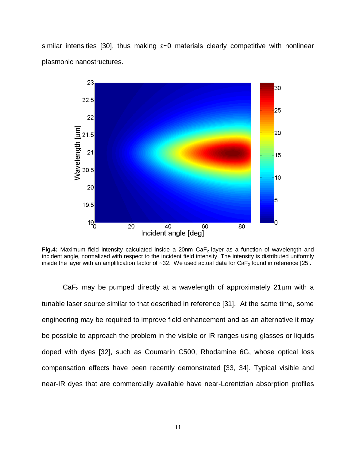similar intensities [30], thus making  $\varepsilon$  materials clearly competitive with nonlinear plasmonic nanostructures.



**Fig.4:** Maximum field intensity calculated inside a 20nm CaF<sub>2</sub> layer as a function of wavelength and incident angle, normalized with respect to the incident field intensity. The intensity is distributed uniformly inside the layer with an amplification factor of  $\sim$ 32. We used actual data for CaF<sub>2</sub> found in reference [25].

 $CaF<sub>2</sub>$  may be pumped directly at a wavelength of approximately 21 $\mu$ m with a tunable laser source similar to that described in reference [31]. At the same time, some engineering may be required to improve field enhancement and as an alternative it may be possible to approach the problem in the visible or IR ranges using glasses or liquids doped with dyes [32], such as Coumarin C500, Rhodamine 6G, whose optical loss compensation effects have been recently demonstrated [33, 34]. Typical visible and near-IR dyes that are commercially available have near-Lorentzian absorption profiles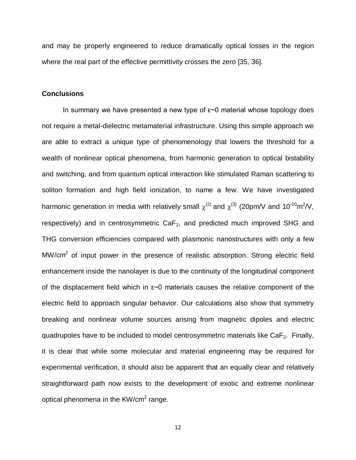and may be properly engineered to reduce dramatically optical losses in the region where the real part of the effective permittivity crosses the zero [35, 36].

# **Conclusions**

In summary we have presented a new type of  $\varepsilon$  material whose topology does not require a metal-dielectric metamaterial infrastructure. Using this simple approach we are able to extract a unique type of phenomenology that lowers the threshold for a wealth of nonlinear optical phenomena, from harmonic generation to optical bistability and switching, and from quantum optical interaction like stimulated Raman scattering to soliton formation and high field ionization, to name a few. We have investigated harmonic generation in media with relatively small  $\chi^{(2)}$  and  $\chi^{(3)}$  (20pm/V and 10<sup>-20</sup>m<sup>2</sup>/V, respectively) and in centrosymmetric  $CaF<sub>2</sub>$ , and predicted much improved SHG and THG conversion efficiencies compared with plasmonic nanostructures with only a few  $MW/cm<sup>2</sup>$  of input power in the presence of realistic absorption. Strong electric field enhancement inside the nanolayer is due to the continuity of the longitudinal component of the displacement field which in ε~0 materials causes the relative component of the electric field to approach singular behavior. Our calculations also show that symmetry breaking and nonlinear volume sources arising from magnetic dipoles and electric quadrupoles have to be included to model centrosymmetric materials like  $CaF<sub>2</sub>$ . Finally, it is clear that while some molecular and material engineering may be required for experimental verification, it should also be apparent that an equally clear and relatively straightforward path now exists to the development of exotic and extreme nonlinear optical phenomena in the  $KW/cm<sup>2</sup>$  range.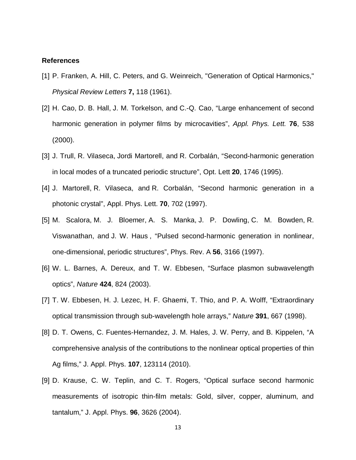### **References**

- [1] P. Franken, A. Hill, C. Peters, and G. Weinreich, "Generation of Optical Harmonics," *Physical Review Letters* **7,** 118 (1961).
- [2] H. Cao, D. B. Hall, J. M. Torkelson, and C.-Q. Cao, "Large enhancement of second harmonic generation in polymer films by microcavities", *Appl. Phys. Lett.* **76**, 538 (2000).
- [3] [J. Trull,](javascript:searchAuthor() [R. Vilaseca,](javascript:searchAuthor() [Jordi Martorell,](javascript:searchAuthor() and [R. Corbalán,](javascript:searchAuthor() "Second-harmonic generation in local modes of a truncated periodic structure", Opt. Lett **20**, 1746 (1995).
- [4] J. Martorell, R. Vilaseca, and R. Corbalán, "Second harmonic generation in a photonic crystal", Appl. Phys. Lett. **70**, 702 (1997).
- [5] M. [Scalora,](http://publish.aps.org/search/field/author/Scalora_M) M. J. [Bloemer,](http://publish.aps.org/search/field/author/Bloemer_M_J) A. S. [Manka,](http://publish.aps.org/search/field/author/Manka_A_S) J. P. [Dowling,](http://publish.aps.org/search/field/author/Dowling_J_P) C. M. [Bowden,](http://publish.aps.org/search/field/author/Bowden_C_M) [R.](http://publish.aps.org/search/field/author/Viswanathan_R) [Viswanathan,](http://publish.aps.org/search/field/author/Viswanathan_R) and J. W. [Haus](http://publish.aps.org/search/field/author/Haus_J_W) , "Pulsed second-harmonic generation in nonlinear, one-dimensional, periodic structures", Phys. Rev. A **56**, 3166 (1997).
- [6] W. L. Barnes, A. Dereux, and T. W. Ebbesen, "Surface plasmon subwavelength optics", *Nature* **424**, 824 (2003).
- [7] T. W. Ebbesen, H. J. Lezec, H. F. Ghaemi, T. Thio, and P. A. Wolff, "Extraordinary optical transmission through sub-wavelength hole arrays," *Nature* **391**, 667 (1998).
- [8] D. T. Owens, C. Fuentes-Hernandez, J. M. Hales, J. W. Perry, and B. Kippelen, "A comprehensive analysis of the contributions to the nonlinear optical properties of thin Ag films," J. Appl. Phys. **107**, 123114 (2010).
- [9] D. Krause, C. W. Teplin, and C. T. Rogers, "Optical surface second harmonic measurements of isotropic thin-film metals: Gold, silver, copper, aluminum, and tantalum," J. Appl. Phys. **96**, 3626 (2004).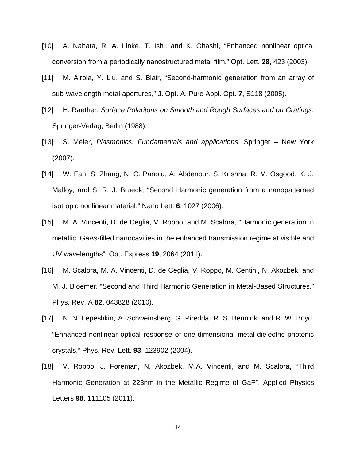- [10] A. Nahata, R. A. Linke, T. Ishi, and K. Ohashi, "Enhanced nonlinear optical conversion from a periodically nanostructured metal film," Opt. Lett. **28**, 423 (2003).
- [11] M. Airola, Y. Liu, and S. Blair, "Second-harmonic generation from an array of sub-wavelength metal apertures," J. Opt. A, Pure Appl. Opt. **7**, S118 (2005).
- [12] H. Raether, *Surface Polaritons on Smooth and Rough Surfaces and on Gratings*, Springer-Verlag, Berlin (1988).
- [13] S. Meier, *Plasmonics: Fundamentals and applications*, Springer New York (2007).
- [14] W. Fan, S. Zhang, N. C. Panoiu, A. Abdenour, S. Krishna, R. M. Osgood, K. J. Malloy, and S. R. J. Brueck, "Second Harmonic generation from a nanopatterned isotropic nonlinear material," Nano Lett. **6**, 1027 (2006).
- [15] M. A. Vincenti, D. de Ceglia, V. Roppo, and M. Scalora, "Harmonic generation in metallic, GaAs-filled nanocavities in the enhanced transmission regime at visible and UV wavelengths", Opt. Express **19**, 2064 (2011).
- [16] M. Scalora, M. A. Vincenti, D. de Ceglia, V. Roppo, M. Centini, N. Akozbek, and M. J. Bloemer, "Second and Third Harmonic Generation in Metal-Based Structures," Phys. Rev. A **82**, 043828 (2010).
- [17] N. N. Lepeshkin, A. Schweinsberg, G. Piredda, R. S. Bennink, and R. W. Boyd, "Enhanced nonlinear optical response of one-dimensional metal-dielectric photonic crystals," Phys. Rev. Lett. **93**, 123902 (2004).
- [18] V. Roppo, J. Foreman, N. Akozbek, M.A. Vincenti, and M. Scalora, "Third Harmonic Generation at 223nm in the Metallic Regime of GaP", Applied Physics Letters **98**, 111105 (2011).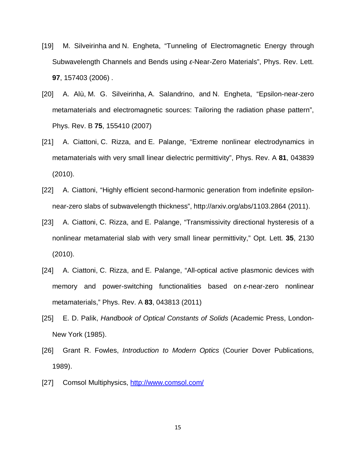- [19] M. [Silveirinha](http://publish.aps.org/search/field/author/Silveirinha_Mario) and N. [Engheta,](http://publish.aps.org/search/field/author/Engheta_Nader) "Tunneling of Electromagnetic Energy through Subwavelength Channels and Bends using *ε*-Near-Zero Materials", Phys. Rev. Lett. **97**, 157403 (2006) .
- [20] A. [Alù,](http://publish.aps.org/search/field/author/Alu_Andrea) M. G. [Silveirinha,](http://publish.aps.org/search/field/author/Silveirinha_Mario_G) A. [Salandrino,](http://publish.aps.org/search/field/author/Salandrino_Alessandro) and N. [Engheta,](http://publish.aps.org/search/field/author/Engheta_Nader) "Epsilon-near-zero metamaterials and electromagnetic sources: Tailoring the radiation phase pattern", Phys. Rev. B **75**, 155410 (2007)
- [21] A. [Ciattoni,](http://publish.aps.org/search/field/author/Ciattoni_A) C. [Rizza,](http://publish.aps.org/search/field/author/Rizza_C) and E. [Palange,](http://publish.aps.org/search/field/author/Palange_E) "Extreme nonlinear electrodynamics in metamaterials with very small linear dielectric permittivity", Phys. Rev. A **81**, 043839 (2010).
- [22] A. Ciattoni, "Highly efficient second-harmonic generation from indefinite epsilonnear-zero slabs of subwavelength thickness", http://arxiv.org/abs/1103.2864 (2011).
- [23] [A. Ciattoni,](javascript:searchAuthor() [C. Rizza,](javascript:searchAuthor() and [E. Palange,](javascript:searchAuthor() "Transmissivity directional hysteresis of a nonlinear metamaterial slab with very small linear permittivity," Opt. Lett. **35**, 2130 (2010).
- [24] [A. Ciattoni,](javascript:searchAuthor() [C. Rizza,](javascript:searchAuthor() and [E. Palange,](javascript:searchAuthor() "All-optical active plasmonic devices with memory and power-switching functionalities based on *ε*-near-zero nonlinear metamaterials," Phys. Rev. A **83**, 043813 (2011)
- [25] E. D. Palik, *Handbook of Optical Constants of Solids* (Academic Press, London-New York (1985).
- [26] Grant R. Fowles, *Introduction to Modern Optics* (Courier Dover Publications, 1989).
- [27] Comsol Multiphysics,<http://www.comsol.com/>